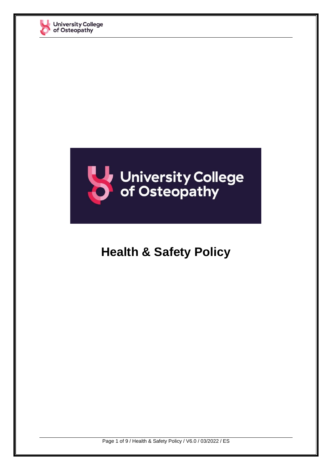



# **Health & Safety Policy**

Page 1 of 9 / Health & Safety Policy / V6.0 / 03/2022 / ES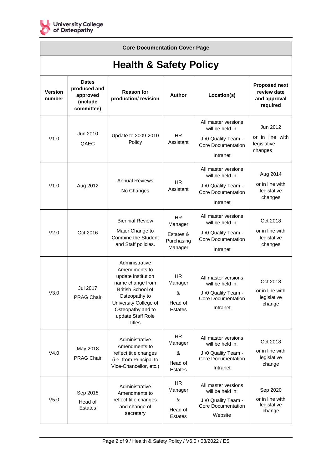

| <b>Core Documentation Cover Page</b> |                                                                    |                                                                                                                                                                                               |                                                        |                                                                                                         |                                                                 |  |  |  |  |
|--------------------------------------|--------------------------------------------------------------------|-----------------------------------------------------------------------------------------------------------------------------------------------------------------------------------------------|--------------------------------------------------------|---------------------------------------------------------------------------------------------------------|-----------------------------------------------------------------|--|--|--|--|
| <b>Health &amp; Safety Policy</b>    |                                                                    |                                                                                                                                                                                               |                                                        |                                                                                                         |                                                                 |  |  |  |  |
| <b>Version</b><br>number             | <b>Dates</b><br>produced and<br>approved<br>(include<br>committee) | <b>Reason for</b><br>production/revision                                                                                                                                                      | <b>Author</b>                                          | Location(s)                                                                                             | <b>Proposed next</b><br>review date<br>and approval<br>required |  |  |  |  |
| V1.0                                 | Jun 2010<br>QAEC                                                   | Update to 2009-2010<br>Policy                                                                                                                                                                 | HR.<br>Assistant                                       | All master versions<br>will be held in:<br>J:\0 Quality Team -<br><b>Core Documentation</b><br>Intranet | Jun 2012<br>or in line with<br>legislative<br>changes           |  |  |  |  |
| V1.0                                 | Aug 2012                                                           | <b>Annual Reviews</b><br>No Changes                                                                                                                                                           | H <sub>R</sub><br>Assistant                            | All master versions<br>will be held in:<br>J:\0 Quality Team -<br>Core Documentation<br>Intranet        | Aug 2014<br>or in line with<br>legislative<br>changes           |  |  |  |  |
| V2.0                                 | Oct 2016                                                           | <b>Biennial Review</b><br>Major Change to<br><b>Combine the Student</b><br>and Staff policies.                                                                                                | HR.<br>Manager<br>Estates &<br>Purchasing<br>Manager   | All master versions<br>will be held in:<br>J:\0 Quality Team -<br>Core Documentation<br>Intranet        | Oct 2018<br>or in line with<br>legislative<br>changes           |  |  |  |  |
| V3.0                                 | Jul 2017<br><b>PRAG Chair</b>                                      | Administrative<br>Amendments to<br>update institution<br>name change from<br>British School of<br>Osteopathy to<br>University College of<br>Osteopathy and to<br>update Staff Role<br>Titles. | <b>HR</b><br>Manager<br>&<br>Head of<br><b>Estates</b> | All master versions<br>will be held in:<br>J:\0 Quality Team -<br><b>Core Documentation</b><br>Intranet | Oct 2018<br>or in line with<br>legislative<br>change            |  |  |  |  |
| V4.0                                 | May 2018<br><b>PRAG Chair</b>                                      | Administrative<br>Amendments to<br>reflect title changes<br>(i.e. from Principal to<br>Vice-Chancellor, etc.)                                                                                 | <b>HR</b><br>Manager<br>&<br>Head of<br><b>Estates</b> | All master versions<br>will be held in:<br>J:\0 Quality Team -<br><b>Core Documentation</b><br>Intranet | Oct 2018<br>or in line with<br>legislative<br>change            |  |  |  |  |
| V <sub>5.0</sub>                     | Sep 2018<br>Head of<br><b>Estates</b>                              | Administrative<br>Amendments to<br>reflect title changes<br>and change of<br>secretary                                                                                                        | <b>HR</b><br>Manager<br>&<br>Head of<br><b>Estates</b> | All master versions<br>will be held in:<br>J:\0 Quality Team -<br><b>Core Documentation</b><br>Website  | Sep 2020<br>or in line with<br>legislative<br>change            |  |  |  |  |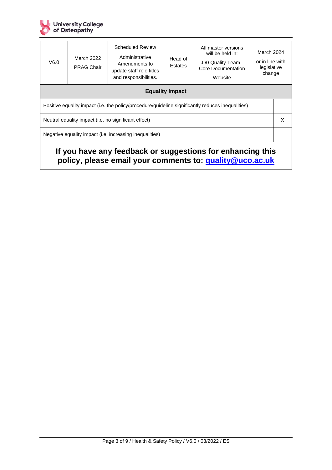

| V6.0                                                                                                                    | March 2022<br><b>PRAG Chair</b> | <b>Scheduled Review</b><br>Administrative<br>Amendments to<br>update staff role titles<br>and responsibilities. | Head of<br>Estates | All master versions<br>will be held in:<br>J:\0 Quality Team -<br>Core Documentation<br>Website | March 2024<br>or in line with<br>legislative<br>change |  |  |  |  |
|-------------------------------------------------------------------------------------------------------------------------|---------------------------------|-----------------------------------------------------------------------------------------------------------------|--------------------|-------------------------------------------------------------------------------------------------|--------------------------------------------------------|--|--|--|--|
| <b>Equality Impact</b>                                                                                                  |                                 |                                                                                                                 |                    |                                                                                                 |                                                        |  |  |  |  |
| Positive equality impact (i.e. the policy/procedure/guideline significantly reduces inequalities)                       |                                 |                                                                                                                 |                    |                                                                                                 |                                                        |  |  |  |  |
| Neutral equality impact (i.e. no significant effect)                                                                    |                                 |                                                                                                                 |                    |                                                                                                 |                                                        |  |  |  |  |
| Negative equality impact (i.e. increasing inequalities)                                                                 |                                 |                                                                                                                 |                    |                                                                                                 |                                                        |  |  |  |  |
| If you have any feedback or suggestions for enhancing this<br>policy, please email your comments to: quality @uco.ac.uk |                                 |                                                                                                                 |                    |                                                                                                 |                                                        |  |  |  |  |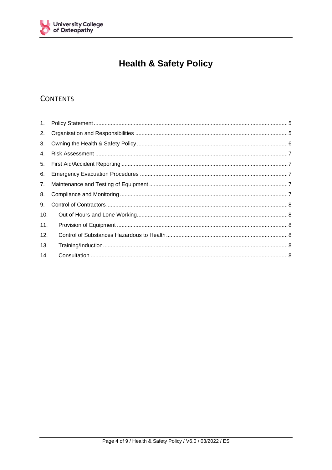

## **Health & Safety Policy**

### **CONTENTS**

| 2.  |  |
|-----|--|
| 3.  |  |
| 4.  |  |
|     |  |
| 6.  |  |
|     |  |
| 8.  |  |
| 9.  |  |
| 10. |  |
| 11. |  |
| 12. |  |
| 13. |  |
| 14. |  |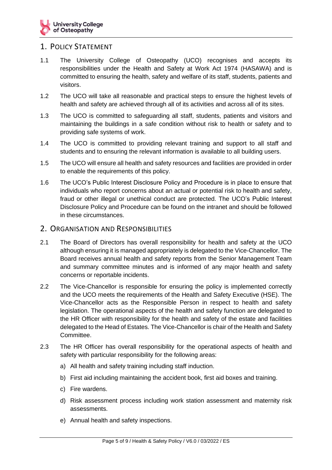### <span id="page-4-0"></span>1. POLICY STATEMENT

- 1.1 The University College of Osteopathy (UCO) recognises and accepts its responsibilities under the Health and Safety at Work Act 1974 (HASAWA) and is committed to ensuring the health, safety and welfare of its staff, students, patients and visitors.
- 1.2 The UCO will take all reasonable and practical steps to ensure the highest levels of health and safety are achieved through all of its activities and across all of its sites.
- 1.3 The UCO is committed to safeguarding all staff, students, patients and visitors and maintaining the buildings in a safe condition without risk to health or safety and to providing safe systems of work.
- 1.4 The UCO is committed to providing relevant training and support to all staff and students and to ensuring the relevant information is available to all building users.
- 1.5 The UCO will ensure all health and safety resources and facilities are provided in order to enable the requirements of this policy.
- 1.6 The UCO's Public Interest Disclosure Policy and Procedure is in place to ensure that individuals who report concerns about an actual or potential risk to health and safety, fraud or other illegal or unethical conduct are protected. The UCO's Public Interest Disclosure Policy and Procedure can be found on the intranet and should be followed in these circumstances.

#### <span id="page-4-1"></span>2. ORGANISATION AND RESPONSIBILITIES

- 2.1 The Board of Directors has overall responsibility for health and safety at the UCO although ensuring it is managed appropriately is delegated to the Vice-Chancellor. The Board receives annual health and safety reports from the Senior Management Team and summary committee minutes and is informed of any major health and safety concerns or reportable incidents.
- 2.2 The Vice-Chancellor is responsible for ensuring the policy is implemented correctly and the UCO meets the requirements of the Health and Safety Executive (HSE). The Vice-Chancellor acts as the Responsible Person in respect to health and safety legislation. The operational aspects of the health and safety function are delegated to the HR Officer with responsibility for the health and safety of the estate and facilities delegated to the Head of Estates. The Vice-Chancellor is chair of the Health and Safety Committee.
- 2.3 The HR Officer has overall responsibility for the operational aspects of health and safety with particular responsibility for the following areas:
	- a) All health and safety training including staff induction.
	- b) First aid including maintaining the accident book, first aid boxes and training.
	- c) Fire wardens.
	- d) Risk assessment process including work station assessment and maternity risk assessments.
	- e) Annual health and safety inspections.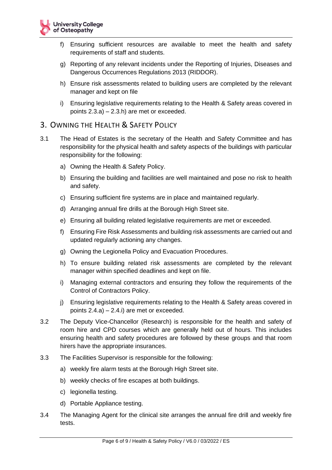- f) Ensuring sufficient resources are available to meet the health and safety requirements of staff and students.
- g) Reporting of any relevant incidents under the Reporting of Injuries, Diseases and Dangerous Occurrences Regulations 2013 (RIDDOR).
- h) Ensure risk assessments related to building users are completed by the relevant manager and kept on file
- i) Ensuring legislative requirements relating to the Health & Safety areas covered in points 2.3.a) – 2.3.h) are met or exceeded.

### <span id="page-5-0"></span>3. OWNING THE HEALTH & SAFETY POLICY

- 3.1 The Head of Estates is the secretary of the Health and Safety Committee and has responsibility for the physical health and safety aspects of the buildings with particular responsibility for the following:
	- a) Owning the Health & Safety Policy.
	- b) Ensuring the building and facilities are well maintained and pose no risk to health and safety.
	- c) Ensuring sufficient fire systems are in place and maintained regularly.
	- d) Arranging annual fire drills at the Borough High Street site.
	- e) Ensuring all building related legislative requirements are met or exceeded.
	- f) Ensuring Fire Risk Assessments and building risk assessments are carried out and updated regularly actioning any changes.
	- g) Owning the Legionella Policy and Evacuation Procedures.
	- h) To ensure building related risk assessments are completed by the relevant manager within specified deadlines and kept on file.
	- i) Managing external contractors and ensuring they follow the requirements of the Control of Contractors Policy.
	- j) Ensuring legislative requirements relating to the Health & Safety areas covered in points 2.4.a) – 2.4.i) are met or exceeded.
- 3.2 The Deputy Vice-Chancellor (Research) is responsible for the health and safety of room hire and CPD courses which are generally held out of hours. This includes ensuring health and safety procedures are followed by these groups and that room hirers have the appropriate insurances.
- 3.3 The Facilities Supervisor is responsible for the following:
	- a) weekly fire alarm tests at the Borough High Street site.
	- b) weekly checks of fire escapes at both buildings.
	- c) legionella testing.
	- d) Portable Appliance testing.
- 3.4 The Managing Agent for the clinical site arranges the annual fire drill and weekly fire tests.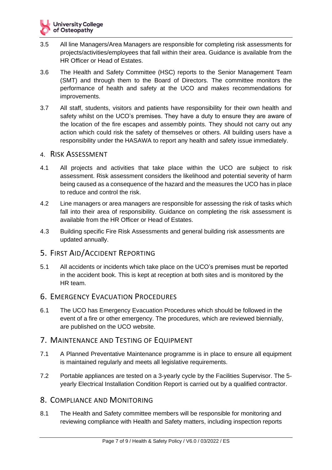- 3.5 All line Managers/Area Managers are responsible for completing risk assessments for projects/activities/employees that fall within their area. Guidance is available from the HR Officer or Head of Estates.
- 3.6 The Health and Safety Committee (HSC) reports to the Senior Management Team (SMT) and through them to the Board of Directors. The committee monitors the performance of health and safety at the UCO and makes recommendations for improvements.
- 3.7 All staff, students, visitors and patients have responsibility for their own health and safety whilst on the UCO's premises. They have a duty to ensure they are aware of the location of the fire escapes and assembly points. They should not carry out any action which could risk the safety of themselves or others. All building users have a responsibility under the HASAWA to report any health and safety issue immediately.

#### <span id="page-6-0"></span>4. RISK ASSESSMENT

- 4.1 All projects and activities that take place within the UCO are subject to risk assessment. Risk assessment considers the likelihood and potential severity of harm being caused as a consequence of the hazard and the measures the UCO has in place to reduce and control the risk.
- 4.2 Line managers or area managers are responsible for assessing the risk of tasks which fall into their area of responsibility. Guidance on completing the risk assessment is available from the HR Officer or Head of Estates.
- 4.3 Building specific Fire Risk Assessments and general building risk assessments are updated annually.

### <span id="page-6-1"></span>5. FIRST AID/ACCIDENT REPORTING

5.1 All accidents or incidents which take place on the UCO's premises must be reported in the accident book. This is kept at reception at both sites and is monitored by the HR team.

### <span id="page-6-2"></span>6. EMERGENCY EVACUATION PROCEDURES

6.1 The UCO has Emergency Evacuation Procedures which should be followed in the event of a fire or other emergency. The procedures, which are reviewed biennially, are published on the UCO website.

### <span id="page-6-3"></span>7. MAINTENANCE AND TESTING OF EQUIPMENT

- 7.1 A Planned Preventative Maintenance programme is in place to ensure all equipment is maintained regularly and meets all legislative requirements.
- 7.2 Portable appliances are tested on a 3-yearly cycle by the Facilities Supervisor. The 5 yearly Electrical Installation Condition Report is carried out by a qualified contractor.

### <span id="page-6-4"></span>8. COMPLIANCE AND MONITORING

8.1 The Health and Safety committee members will be responsible for monitoring and reviewing compliance with Health and Safety matters, including inspection reports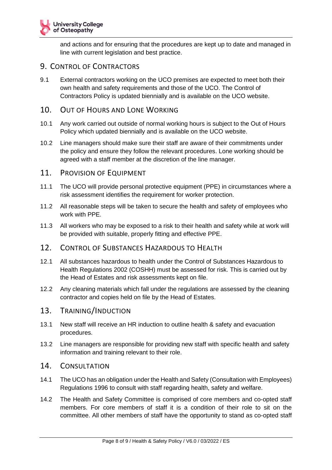

and actions and for ensuring that the procedures are kept up to date and managed in line with current legislation and best practice.

### <span id="page-7-0"></span>9. CONTROL OF CONTRACTORS

9.1 External contractors working on the UCO premises are expected to meet both their own health and safety requirements and those of the UCO. The Control of Contractors Policy is updated biennially and is available on the UCO website.

### <span id="page-7-1"></span>10. OUT OF HOURS AND LONE WORKING

- 10.1 Any work carried out outside of normal working hours is subject to the Out of Hours Policy which updated biennially and is available on the UCO website.
- 10.2 Line managers should make sure their staff are aware of their commitments under the policy and ensure they follow the relevant procedures. Lone working should be agreed with a staff member at the discretion of the line manager.
- <span id="page-7-2"></span>11. PROVISION OF EQUIPMENT
- 11.1 The UCO will provide personal protective equipment (PPE) in circumstances where a risk assessment identifies the requirement for worker protection.
- 11.2 All reasonable steps will be taken to secure the health and safety of employees who work with PPE.
- 11.3 All workers who may be exposed to a risk to their health and safety while at work will be provided with suitable, properly fitting and effective PPE.
- <span id="page-7-3"></span>12. CONTROL OF SUBSTANCES HAZARDOUS TO HEALTH
- 12.1 All substances hazardous to health under the Control of Substances Hazardous to Health Regulations 2002 (COSHH) must be assessed for risk. This is carried out by the Head of Estates and risk assessments kept on file.
- 12.2 Any cleaning materials which fall under the regulations are assessed by the cleaning contractor and copies held on file by the Head of Estates.
- <span id="page-7-4"></span>13. TRAINING/INDUCTION
- 13.1 New staff will receive an HR induction to outline health & safety and evacuation procedures.
- 13.2 Line managers are responsible for providing new staff with specific health and safety information and training relevant to their role.
- <span id="page-7-5"></span>14. CONSULTATION
- 14.1 The UCO has an obligation under the Health and Safety (Consultation with Employees) Regulations 1996 to consult with staff regarding health, safety and welfare.
- 14.2 The Health and Safety Committee is comprised of core members and co-opted staff members. For core members of staff it is a condition of their role to sit on the committee. All other members of staff have the opportunity to stand as co-opted staff